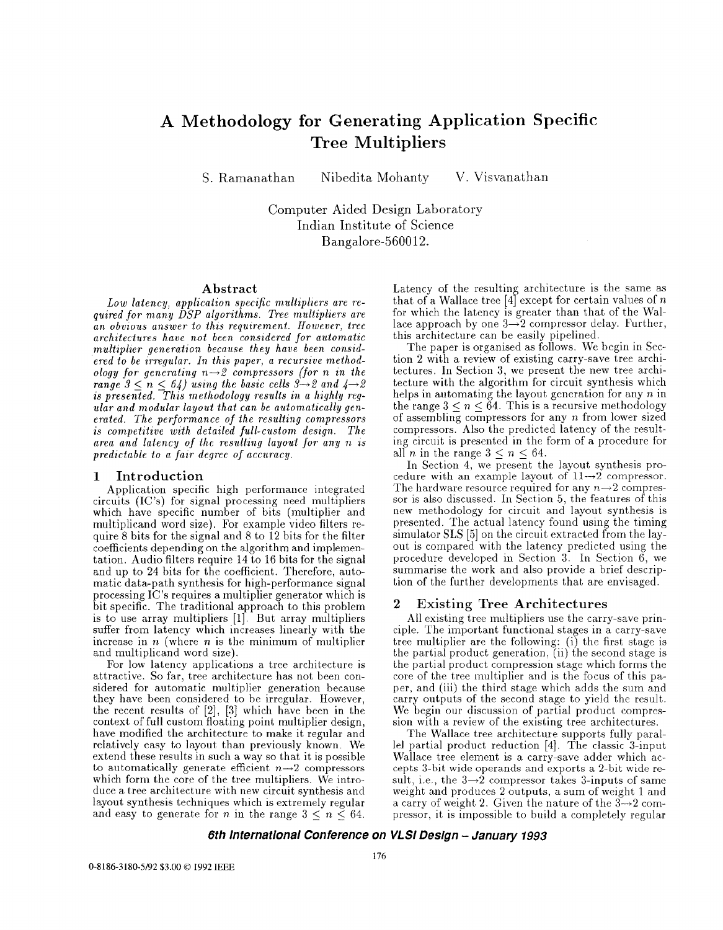## **A Methodology for Generating Application Specific Tree Multipliers**

S. Ramanathan Nibedita Mohanty V. Visvanathan

Computer Aided Design Laboratory Indian Institute of Science Bangalore-560012.

**Abstract**<br>Low latency, application specific multipliers are re-*Low latency, application, specific multipliers are re- quired for m,any DSP algorithms. Tree multipliers are an obvious answer to this requirement. However, tree architectures have not been considered for automatic*  multiplier generation because they have been consid*ered to be irregular. In this paper, a recursive methodology for generating n-2 compressors (for n in the range*  $3 \le n \le 64$ ) using the basic cells  $3 \rightarrow 2$  and  $4 \rightarrow$ *is presented. This methodology results in a highly regular and modular layout that can be automatically generated. The performance of the resulting compressors is competitive with detailed full-custom design. The area and latency of the resdting layout for any n is predictable to a faar degree of accnracy.* 

### **1 Introduction**

Application specific high performance integrated circuits (IC's) for signal processing need multipliers which have specific number of bits (multiplier and multiplicand word size). For example video filters require 8 bits for the signal and 8 to 12 bits for the filter coefficients depending on the algorithm and implementation. Audio filters require 14 to 16 bits for the signal and up to 24 bits for the coefficient. Therefore, automatic data-path synthesis for high-performance signal processing IC's requires a multiplier generator which is bit specific. The traditional approach to this problem is to use array multipliers [l]. But array multipliers suffer from latency which increases linearly with the increase in *n* (where *n* is the minimum of multiplier and multiplicand word size).

For low latency applications a tree architecture is attractive. So far, tree architecture has not been considered for automatic multiplier generation because they have been considered to be irregular. However, the recent results of  $[2]$ ,  $[3]$  which have been in the context of full custom floating point multiplier design, have modified the architecture to make it regular and relatively easy to layout than previously known. We extend these results in such a way so that it is possible to automatically generate efficient  $n\rightarrow 2$  compressors which form the core of the tree multipliers. We introduce a tree architecture with new circuit synthesis and layout synthesis techniques which is extremely regular and easy to generate for *n* in the range  $3 \leq n \leq 64$ .

Latency of the resulting architecture is the same as that of a Wallace tree  $[4]$  except for certain values of *n* for which the latency is greater than that of the Wal- $\frac{1}{2}$  approach by one  $3\rightarrow 2$  compressor delay. Further, this architecture can be easily pipelined.

The paper is organised as follows. We begin in Section 2 with a review of existing carry-save tree architectures. In Section 3, we present the new tree architecture with the algorithm for circuit synthesis which helps in automating the layout generation for any *n* in the range  $3 < n < 64$ . This is a recursive methodology of assembling compressors for any *n* from lower sized compressors. Also the predicted latency of the resulting circuit is presented in the form of a procedure for all *n* in the range  $3 < n < 64$ .

In Section **4,** we present the layout synthesis procedure with an example layout of  $11\rightarrow 2$  compressor. The hardware resource required for any  $n\rightarrow 2$  compressor is also discussed. In Section 5, the features of this new methodology for circuit and layout synthesis is presented. The actual latency found using the timing simulator SLS [5] on the circuit extracted from the layout is compared with the latency predicted using the procedure developed in Section 3. In Section 6, we summarise the work and also provide a brief description of the further developments that are envisaged.

### **2 Existing Tree Architectures**

All existing tree multipliers use the carry-save principle. The important functional stages in a carry-save tree multiplier are the following: (i) the first stage is the partial product generation,  $(ii)$  the second stage is the partial product compression stage which forms the core of the tree multiplier and is the focus of this paper, and (iii) the third stage which adds the sum and carry outputs of the second stage to yield the result. We begin our discussion of partial product compression with a review of the existing tree architectures.

The Wallace tree architecture supports fully parallel partial product reduction [4]. The classic 3-input Wallace tree element is a carry-save adder which accepts 3-bit wide operands and exports a 2-bit wide result, i.e., the  $3\rightarrow 2$  compressor takes 3-inputs of same weight and produces 2 outputs, a sum of weight 1 and a carry of weight 2. Given the nature of the  $3\rightarrow 2$  compressor, it is impossible to build a completely regular

### *6th lnternatlonal Conference on VLSI Deslgn -January 1993*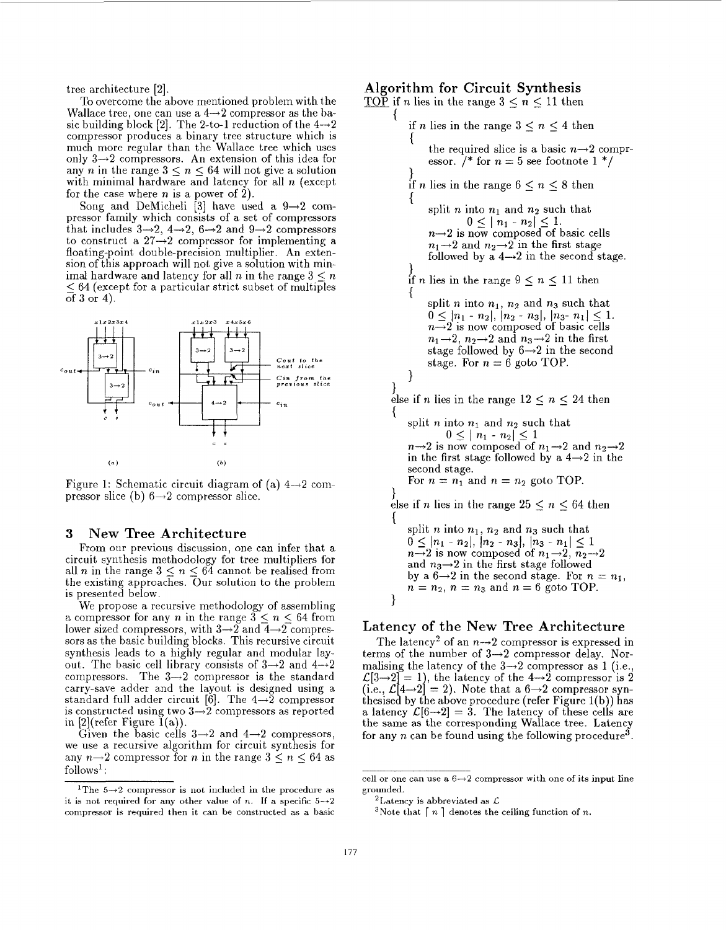tree architecture [2].

To overcome the above mentioned problem with the Wallace tree, one can use a  $4\rightarrow 2$  compressor as the basic building block [2]. The 2-to-1 reduction of the  $4\rightarrow 2$ compressor produces a binary tree structure which is much more regular than the Wallace tree which uses only  $3\rightarrow 2$  compressors. An extension of this idea for any *n* in the range  $3 \leq n \leq 64$  will not give a solution with minimal hardware and latency for all *n* (except for the case where *n* is a power of **2).** 

Song and DeMicheli  $\begin{bmatrix} 3 \end{bmatrix}$  have used a  $9\rightarrow 2$  compressor family which consists of a set of compressors that includes  $3\rightarrow 2$ ,  $4\rightarrow 2$ ,  $6\rightarrow 2$  and  $9\rightarrow 2$  compressors to construct a  $27\rightarrow 2$  compressor for implementing a floating-point double-precision multiplier. An extension of this approach will not give a solution with minimal hardware and latency for all *n* in the range  $3 \leq n$  $564$  (except for a particular strict subset of multiples of 3 or 4).



Figure 1: Schematic circuit diagram of (a)  $4\rightarrow 2$  compressor slice (b)  $6\rightarrow 2$  compressor slice.

### **3** New Tree Architecture

From our previous discussion, one can infer that a circuit synthesis methodology for tree multipliers for all *n* in the range  $3 \le n \le 64$  cannot be realised from the existing approaches. Our solution to the problem is presented below.

We propose a recursive methodology of assembling a compressor for any *n* in the range  $3 \leq n \leq 64$  from lower sized compressors, with  $3\rightarrow 2$  and  $4\rightarrow 2$  compressors as the basic building blocks. This recursive circuit synthesis leads to a highly regular and modular layout. The basic cell library consists of  $3\rightarrow 2$  and  $4\rightarrow 2$ compressors. The  $3\rightarrow 2$  compressor is the standard carry-save adder and the layout is designed using a standard full adder circuit [6]. The  $4\rightarrow 2$  compressor is constructed using two  $3 \rightarrow 2$  compressors as reported in  $[2]$ (refer Figure  $\tilde{1}(a)$ ).

Given the basic cells  $3\rightarrow 2$  and  $4\rightarrow 2$  compressors, we use a recursive algorithm for circuit synthesis for any  $n \rightarrow 2$  compressor for *n* in the range  $3 \leq n \leq 64$  as follows $<sup>1</sup>$ :</sup>

# Algorithm for Circuit Synthesis TOP if *n* lies in the range  $3 < n < 11$  then

if *n* lies in the range  $3 \leq n \leq 4$  then  $\mathbf{f}$ the required slice is a basic  $n \rightarrow 2$  compressor. /\* for  $n=5$  see footnote 1 \*/ }<br>if *n* lies in the range  $6 \le n \le 8$  then { split *n* into  $n_1$  and  $n_2$  such that  $0 \leq |n_1 - n_2| \leq 1.$  $n\rightarrow 2$  is now composed of basic cells  $n_1 \rightarrow 2$  and  $n_2 \rightarrow 2$  in the first stage followed by a  $4 \rightarrow 2$  in the second stage.  $\}$  if *n* lies in the range  $9 \le n \le 11$  then split *n* into  $n_1$ ,  $n_2$  and  $n_3$  such that  $0 \leq |n_1 - n_2|, |n_2 - n_3|, |n_3 - n_1| \leq 1.$ <br>  $n \to 2$  is now composed of basic cells  $n_1\rightarrow 2$ ,  $n_2\rightarrow 2$  and  $n_3\rightarrow 2$  in the first stage followed by  $6 \rightarrow 2$  in the second stage. For  $n = 6$  goto TOP. 1  $\}$ <br>else if *n* lies in the range  $12 \le n \le 24$  then { split *n* into  $n_1$  and  $n_2$  such that<br> $0 \le |n_1 - n_2| \le 1$  $n \rightarrow 2$  is now composed of  $n_1 \rightarrow 2$  and  $n_2 \rightarrow 2$ <br>in the first stage followed by a  $4 \rightarrow 2$  in the second stage. For  $n = n_1$  and  $n = n_2$  goto TOP.  $\}$  else if *n* lies in the range  $25 \le n \le 64$  then { split  $n$  into  $n_1$ ,  $n_2$  and  $n_3$  such that  $0 \leq |n_1 - n_2|, |n_2 - n_3|, |n_3 - n_1| \leq 1$ <br>  $n \to 2$  is now composed of  $n_1 \to 2, n_2 \to 2$ and  $n_3 \rightarrow 2$  in the first stage followed<br>by a  $6 \rightarrow 2$  in the second stage. For  $n = n_1$ ,  $n = n_2$ ,  $n = n_3$  and  $n = 6$  goto TOP. 1

### Latency of the New Tree Architecture

The latency<sup>2</sup> of an  $n\rightarrow 2$  compressor is expressed in terms of the number of  $3\rightarrow 2$  compressor delay. Normalising the latency of the  $3\rightarrow 2$  compressor as 1 (i.e.,  $\mathcal{L}[3\rightarrow 2] = 1$ ), the latency of the  $4\rightarrow 2$  compressor is 2 (i.e.,  $\mathcal{L}[4 \rightarrow 2] = 2$ ). Note that a  $6 \rightarrow 2$  compressor synthesised by the above procedure (refer Figure 1(b)) has a latency  $\mathcal{L}[6 \rightarrow 2] = 3$ . The latency of these cells are the same as the corresponding Wallace tree. Latency for any n can be found using the following procedure<sup>3</sup>.

<sup>&#</sup>x27;The *5-2* compressor is **not** included in the procedure as it is not required for any other value of *n*. If a specific  $5\rightarrow 2$ compressor is required then it can be constructed as a basic

cell or one can use a  $6 \rightarrow 2$  compressor with one of its input line grounded.

<sup>&</sup>lt;sup>2</sup>Latency is abbreviated as  $\mathcal{L}$ 

<sup>&</sup>lt;sup>3</sup>Note that  $\lceil n \rceil$  denotes the ceiling function of n.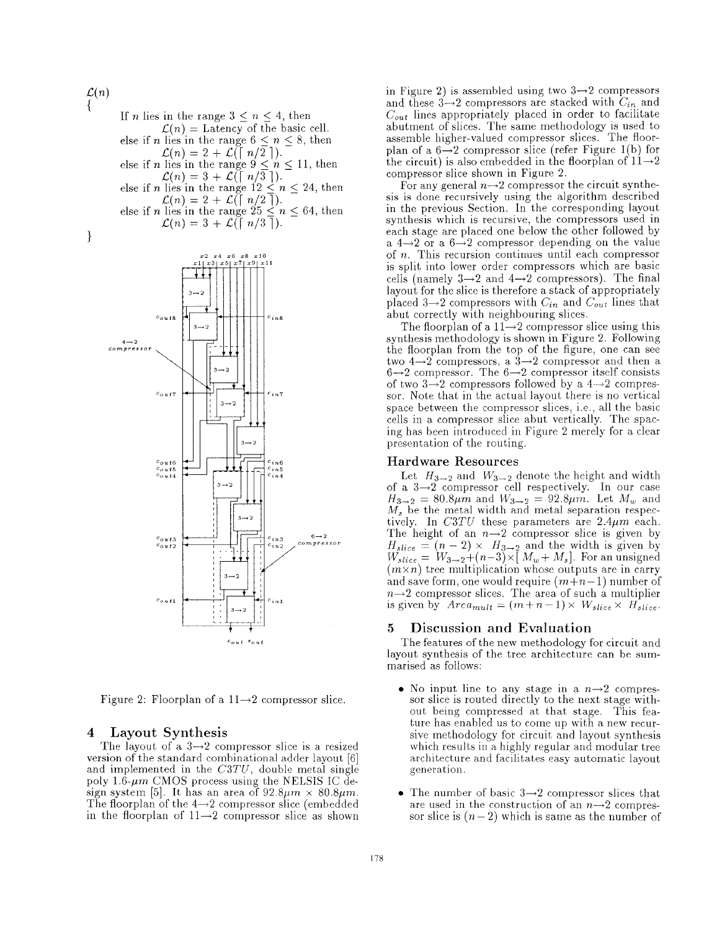### $\mathcal{L}(n)$

If *n* lies in the range  $3 \leq n \leq 4$ , then  $\mathcal{L}(n) =$  Latency of the basic cell. else if *n* lies in the range  $6 \le n \le 8$ , then  $\mathcal{L}(n) = 2 + \mathcal{L}(\lceil n/2 \rceil).$ else if *n* lies in the range  $9 \le n \le 11$ , then  $\mathcal{L}(n) = 3 + \mathcal{L}(\lceil n/3 \rceil)$ . *Let if n* lies in the range  $12 \le n \le 24$ , then else if *n* lies in the range  $25 \leq n \leq 64$ , then  $\mathcal{L}(n) = 3 + \mathcal{L}(\lceil n/3 \rceil).$  $\mathcal{L}(n) = 2 + \mathcal{L}(\lceil n/2 \rceil).$ 





Figure 2: Floorplan of a  $11\rightarrow 2$  compressor slice.

### **4** Layout Synthesis

The layout of a  $3\rightarrow 2$  compressor slice is a resized version of the standard combinational adder layout [6] and implemented in the *C3TU,* double metal single poly  $1.6\text{-}\mu m$  CMOS process using the NELSIS IC design system [5]. It has an area of  $92.8\mu m \times 80.8\mu m$ . The floorplan of the  $4\rightarrow 2$  compressor slice (embedded in the floorplan of  $11\rightarrow 2$  compressor slice as shown in Figure 2) is assembled using two  $3\rightarrow 2$  compressors and these  $3\rightarrow 2$  compressors are stacked with  $C_{in}$  and *Cout* lines appropriately placed in order to facilitate abutment of slices. The same methodology is used to assemble higher-valued compressor slices. The floorplan of a  $6\rightarrow 2$  compressor slice (refer Figure 1(b) for compressor slice shown in Figure 2. the circuit) is also embedded in the floorplan of  $11\rightarrow 2$ 

For any general  $n\rightarrow 2$  compressor the circuit synthesis is done recursively using the algorithm described in the previous Section. In the corresponding layout synthesis which is recursive, the compressors used in each stage are placed one below the other followed by a  $4 \rightarrow 2$  or a  $6 \rightarrow 2$  compressor depending on the value of *n.* This recursion continues until each compressor is split into lower order compressors which are basic cells (namely  $3\rightarrow 2$  and  $4\rightarrow 2$  compressors). The final layout for the slice is therefore a stack of appropriately placed  $3\rightarrow 2$  compressors with  $C_{in}$  and  $C_{out}$  lines that abut correctly with neighbouring slices.

The floorplan of a  $11\rightarrow 2$  compressor slice using this synthesis methodology is shown in Figure 2. Following the floorplan from the top of the figure, one can see two  $4\rightarrow 2$  compressors, a  $3\rightarrow 2$  compressor and then a  $6 \rightarrow 2$  compressor. The  $6 \rightarrow 2$  compressor itself consists of two  $3\rightarrow 2$  compressors followed by a  $4\rightarrow 2$  compressor. Note that in the actual layout there is no vertical space between the compressor slices, i.e., all the basic cells in a compressor slice abut vertically. The spacing has been introdnced in Figure 2 merely for a clear presentation of the routing.

### Hardware Resources

Let  $H_{3\rightarrow 2}$  and  $W_{3\rightarrow 2}$  denote the height and width of a  $3\rightarrow 2$  compressor cell respectively. In our case  $H_{3\to 2} = 80.8\mu\hat{m}$  and  $W_{3\to 2} = 92.8\mu\hat{m}$ . Let  $M_w$  and *M,* be the metal width and metal separation respectively. In  $C3TU$  these parameters are  $2.4\mu m$  each. The height of an  $n\rightarrow 2$  compressor slice is given by The height of an  $n \rightarrow 2$  compressor slice is given by  $H_{slice} = (n-2) \times H_{3\rightarrow 2}$  and the width is given by  $W_{slice} = W_{3\rightarrow 2} + (n-3) \times [M_w + M_s]$ . For an unsigned  $(m \times n)$  tree multiplication whose outputs are in carry and save form, one would require  $(m+n-1)$  number of  $n \rightarrow 2$  compressor slices. The area of such a multiplier is given by  $Area_{mult} = (m+n-1) \times W_{slice} \times H_{slice}$ .

### **5** Discussion and Evaluation

The features of the new methodology for circuit and layout synthesis of the tree architecture can be summarised as follows:

- No input line to any stage in a  $n\rightarrow 2$  compressor slice is routed directly to the next stage without being compressed at that stage. This feature has enabled us to come up with a new recursive methodology for circuit and layout synthesis which results in a highly regular and modular tree architecture and facilitates easy automatic layout genera tion.
- The number of basic  $3\rightarrow 2$  compressor slices that are used in the construction of an  $n\rightarrow 2$  compressor slice is  $(n-2)$  which is same as the number of